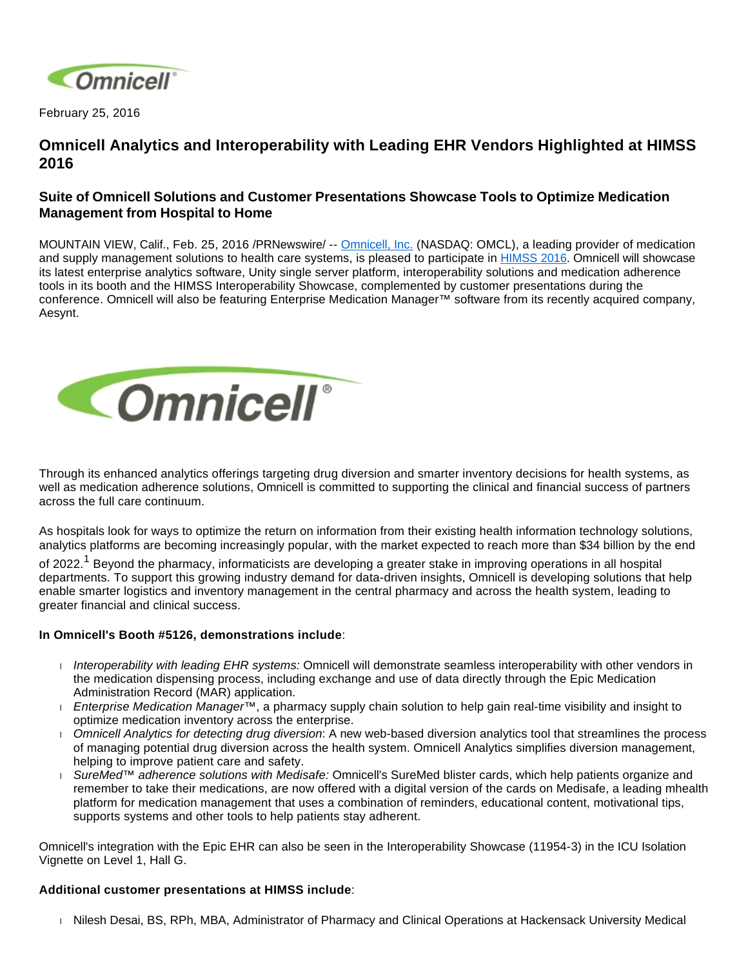

February 25, 2016

# **Omnicell Analytics and Interoperability with Leading EHR Vendors Highlighted at HIMSS 2016**

# **Suite of Omnicell Solutions and Customer Presentations Showcase Tools to Optimize Medication Management from Hospital to Home**

MOUNTAIN VIEW, Calif., Feb. 25, 2016 /PRNewswire/ -- [Omnicell, Inc.](http://www.omnicell.com/) (NASDAQ: OMCL), a leading provider of medication and supply management solutions to health care systems, is pleased to participate in [HIMSS 2016](http://www.himssconference.org/). Omnicell will showcase its latest enterprise analytics software, Unity single server platform, interoperability solutions and medication adherence tools in its booth and the HIMSS Interoperability Showcase, complemented by customer presentations during the conference. Omnicell will also be featuring Enterprise Medication Manager™ software from its recently acquired company, Aesynt.



Through its enhanced analytics offerings targeting drug diversion and smarter inventory decisions for health systems, as well as medication adherence solutions, Omnicell is committed to supporting the clinical and financial success of partners across the full care continuum.

As hospitals look for ways to optimize the return on information from their existing health information technology solutions, analytics platforms are becoming increasingly popular, with the market expected to reach more than \$34 billion by the end

of 2022.<sup>1</sup> Beyond the pharmacy, informaticists are developing a greater stake in improving operations in all hospital departments. To support this growing industry demand for data-driven insights, Omnicell is developing solutions that help enable smarter logistics and inventory management in the central pharmacy and across the health system, leading to greater financial and clinical success.

#### **In Omnicell's Booth #5126, demonstrations include**:

- Interoperability with leading EHR systems: Omnicell will demonstrate seamless interoperability with other vendors in the medication dispensing process, including exchange and use of data directly through the Epic Medication Administration Record (MAR) application.
- Enterprise Medication Manager™, a pharmacy supply chain solution to help gain real-time visibility and insight to optimize medication inventory across the enterprise.
- Omnicell Analytics for detecting drug diversion: A new web-based diversion analytics tool that streamlines the process of managing potential drug diversion across the health system. Omnicell Analytics simplifies diversion management, helping to improve patient care and safety.
- SureMed™ adherence solutions with Medisafe: Omnicell's SureMed blister cards, which help patients organize and remember to take their medications, are now offered with a digital version of the cards on Medisafe, a leading mhealth platform for medication management that uses a combination of reminders, educational content, motivational tips, supports systems and other tools to help patients stay adherent.

Omnicell's integration with the Epic EHR can also be seen in the Interoperability Showcase (11954-3) in the ICU Isolation Vignette on Level 1, Hall G.

## **Additional customer presentations at HIMSS include**:

Nilesh D[esai, BS, RPh, MBA, Administrator of Pharmacy and Clinical Opera](http://www.himssconference.org/session/impact-adc-system-medication-administration)tions at Hackensack University Medical